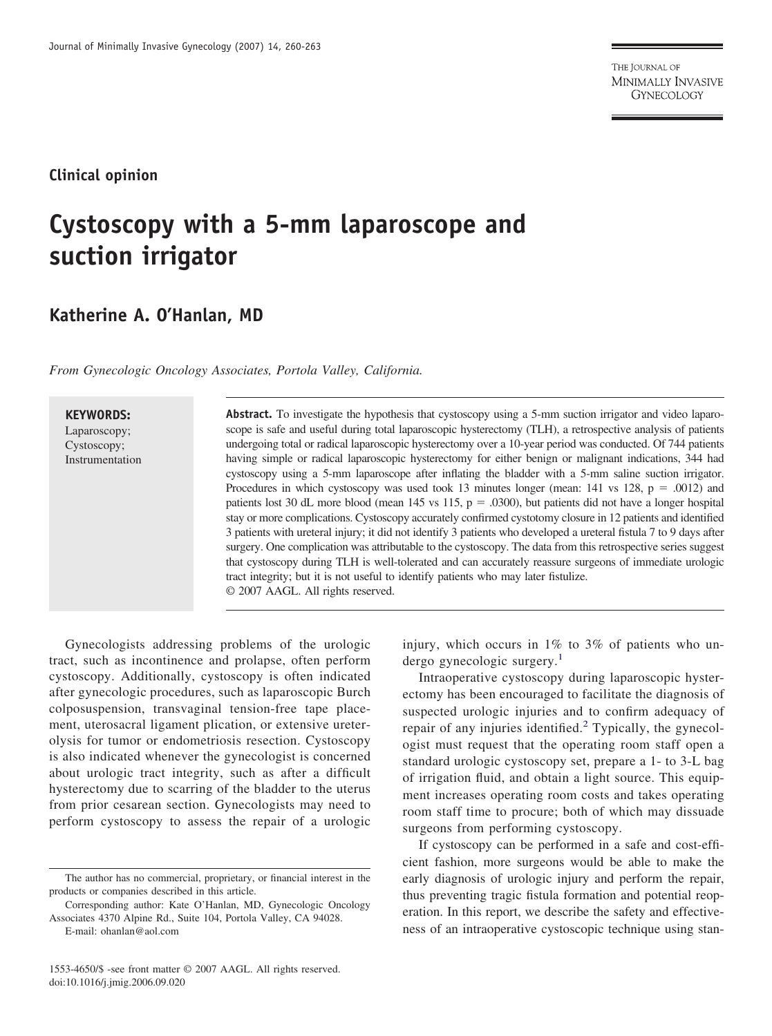THE JOURNAL OF MINIMALLY INVASIVE **GYNECOLOGY** 

### **Clinical opinion**

# **Cystoscopy with a 5-mm laparoscope and suction irrigator**

## **Katherine A. O'Hanlan, MD**

*From Gynecologic Oncology Associates, Portola Valley, California.*

#### **KEYWORDS:**

Laparoscopy; Cystoscopy; Instrumentation **Abstract.** To investigate the hypothesis that cystoscopy using a 5-mm suction irrigator and video laparoscope is safe and useful during total laparoscopic hysterectomy (TLH), a retrospective analysis of patients undergoing total or radical laparoscopic hysterectomy over a 10-year period was conducted. Of 744 patients having simple or radical laparoscopic hysterectomy for either benign or malignant indications, 344 had cystoscopy using a 5-mm laparoscope after inflating the bladder with a 5-mm saline suction irrigator. Procedures in which cystoscopy was used took 13 minutes longer (mean: 141 vs 128,  $p = .0012$ ) and patients lost 30 dL more blood (mean 145 vs 115,  $p = .0300$ ), but patients did not have a longer hospital stay or more complications. Cystoscopy accurately confirmed cystotomy closure in 12 patients and identified 3 patients with ureteral injury; it did not identify 3 patients who developed a ureteral fistula 7 to 9 days after surgery. One complication was attributable to the cystoscopy. The data from this retrospective series suggest that cystoscopy during TLH is well-tolerated and can accurately reassure surgeons of immediate urologic tract integrity; but it is not useful to identify patients who may later fistulize. © 2007 AAGL. All rights reserved.

Gynecologists addressing problems of the urologic tract, such as incontinence and prolapse, often perform cystoscopy. Additionally, cystoscopy is often indicated after gynecologic procedures, such as laparoscopic Burch colposuspension, transvaginal tension-free tape placement, uterosacral ligament plication, or extensive ureterolysis for tumor or endometriosis resection. Cystoscopy is also indicated whenever the gynecologist is concerned about urologic tract integrity, such as after a difficult hysterectomy due to scarring of the bladder to the uterus from prior cesarean section. Gynecologists may need to perform cystoscopy to assess the repair of a urologic

Corresponding author: Kate O'Hanlan, MD, Gynecologic Oncology Associates 4370 Alpine Rd., Suite 104, Portola Valley, CA 94028.

1553-4650/\$ -see front matter © 2007 AAGL. All rights reserved. doi:10.1016/j.jmig.2006.09.020

injury, which occurs in 1% to 3% of patients who un-dergo gynecologic surgery.<sup>[1](#page-3-0)</sup>

Intraoperative cystoscopy during laparoscopic hysterectomy has been encouraged to facilitate the diagnosis of suspected urologic injuries and to confirm adequacy of repair of any injuries identified.<sup>[2](#page-3-0)</sup> Typically, the gynecologist must request that the operating room staff open a standard urologic cystoscopy set, prepare a 1- to 3-L bag of irrigation fluid, and obtain a light source. This equipment increases operating room costs and takes operating room staff time to procure; both of which may dissuade surgeons from performing cystoscopy.

If cystoscopy can be performed in a safe and cost-efficient fashion, more surgeons would be able to make the early diagnosis of urologic injury and perform the repair, thus preventing tragic fistula formation and potential reoperation. In this report, we describe the safety and effectiveness of an intraoperative cystoscopic technique using stan-

The author has no commercial, proprietary, or financial interest in the products or companies described in this article.

E-mail: ohanlan@aol.com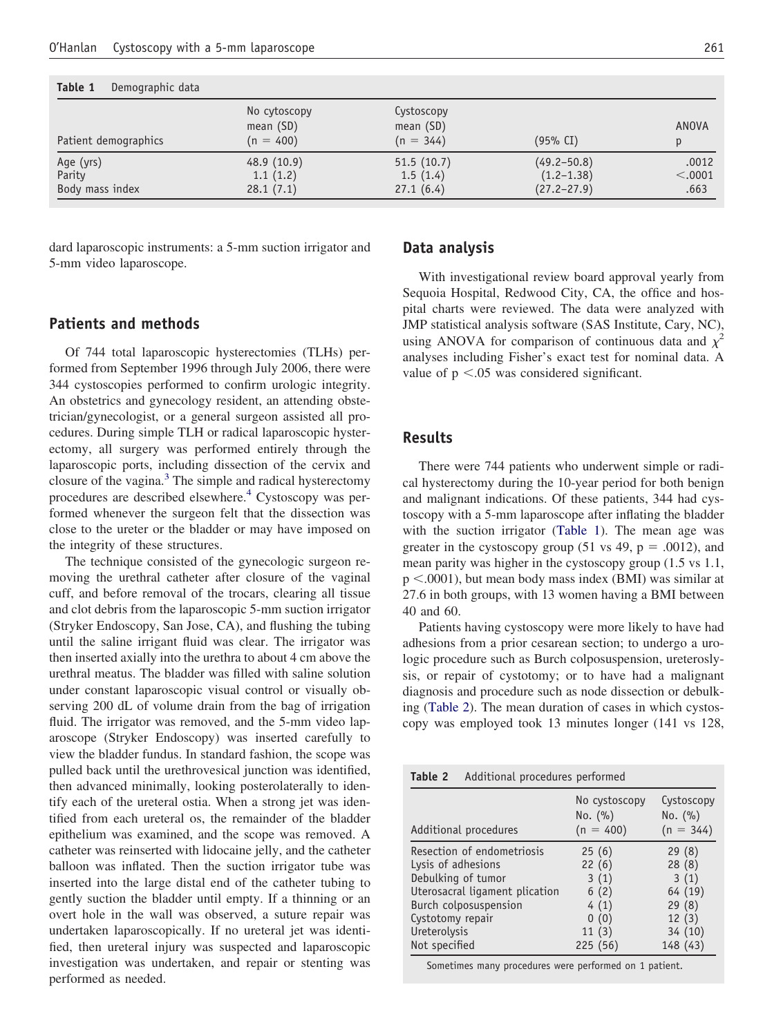| Table 1<br>Demographic data            |                                            |                                          |                                                      |                          |  |  |  |
|----------------------------------------|--------------------------------------------|------------------------------------------|------------------------------------------------------|--------------------------|--|--|--|
| Patient demographics                   | No cytoscopy<br>mean $(SD)$<br>$(n = 400)$ | Cystoscopy<br>mean $(SD)$<br>$(n = 344)$ | (95% CI)                                             | ANOVA<br>p               |  |  |  |
| Age (yrs)<br>Parity<br>Body mass index | 48.9 (10.9)<br>1.1(1.2)<br>28.1(7.1)       | 51.5(10.7)<br>1.5(1.4)<br>27.1(6.4)      | $(49.2 - 50.8)$<br>$(1.2 - 1.38)$<br>$(27.2 - 27.9)$ | .0012<br>< .0001<br>.663 |  |  |  |

dard laparoscopic instruments: a 5-mm suction irrigator and 5-mm video laparoscope.

# **Data analysis**

With investigational review board approval yearly from Sequoia Hospital, Redwood City, CA, the office and hospital charts were reviewed. The data were analyzed with JMP statistical analysis software (SAS Institute, Cary, NC), using ANOVA for comparison of continuous data and  $\chi^2$ analyses including Fisher's exact test for nominal data. A value of  $p < 0.05$  was considered significant.

# **Results**

There were 744 patients who underwent simple or radical hysterectomy during the 10-year period for both benign and malignant indications. Of these patients, 344 had cystoscopy with a 5-mm laparoscope after inflating the bladder with the suction irrigator (Table 1). The mean age was greater in the cystoscopy group (51 vs 49,  $p = .0012$ ), and mean parity was higher in the cystoscopy group (1.5 vs 1.1, p <.0001), but mean body mass index (BMI) was similar at 27.6 in both groups, with 13 women having a BMI between 40 and 60.

Patients having cystoscopy were more likely to have had adhesions from a prior cesarean section; to undergo a urologic procedure such as Burch colposuspension, ureteroslysis, or repair of cystotomy; or to have had a malignant diagnosis and procedure such as node dissection or debulking (Table 2). The mean duration of cases in which cystoscopy was employed took 13 minutes longer (141 vs 128,

| Table 2<br>Additional procedures performed                                                                                                                                             |                                                                        |                                                                           |  |  |  |
|----------------------------------------------------------------------------------------------------------------------------------------------------------------------------------------|------------------------------------------------------------------------|---------------------------------------------------------------------------|--|--|--|
| Additional procedures                                                                                                                                                                  | No cystoscopy<br>No. (%)<br>$(n = 400)$                                | Cystoscopy<br>No. (%)<br>$(n = 344)$                                      |  |  |  |
| Resection of endometriosis<br>Lysis of adhesions<br>Debulking of tumor<br>Uterosacral ligament plication<br>Burch colposuspension<br>Cystotomy repair<br>Ureterolysis<br>Not specified | 25(6)<br>22(6)<br>3(1)<br>6(2)<br>4(1)<br>(0)<br>0<br>11(3)<br>225(56) | 29(8)<br>28(8)<br>3(1)<br>64 (19)<br>29(8)<br>12(3)<br>34(10)<br>148 (43) |  |  |  |

Sometimes many procedures were performed on 1 patient.

#### **Patients and methods**

Of 744 total laparoscopic hysterectomies (TLHs) performed from September 1996 through July 2006, there were 344 cystoscopies performed to confirm urologic integrity. An obstetrics and gynecology resident, an attending obstetrician/gynecologist, or a general surgeon assisted all procedures. During simple TLH or radical laparoscopic hysterectomy, all surgery was performed entirely through the laparoscopic ports, including dissection of the cervix and closure of the vagina.<sup>[3](#page-3-0)</sup> The simple and radical hysterectomy procedures are described elsewhere.<sup>[4](#page-3-0)</sup> Cystoscopy was performed whenever the surgeon felt that the dissection was close to the ureter or the bladder or may have imposed on the integrity of these structures.

The technique consisted of the gynecologic surgeon removing the urethral catheter after closure of the vaginal cuff, and before removal of the trocars, clearing all tissue and clot debris from the laparoscopic 5-mm suction irrigator (Stryker Endoscopy, San Jose, CA), and flushing the tubing until the saline irrigant fluid was clear. The irrigator was then inserted axially into the urethra to about 4 cm above the urethral meatus. The bladder was filled with saline solution under constant laparoscopic visual control or visually observing 200 dL of volume drain from the bag of irrigation fluid. The irrigator was removed, and the 5-mm video laparoscope (Stryker Endoscopy) was inserted carefully to view the bladder fundus. In standard fashion, the scope was pulled back until the urethrovesical junction was identified, then advanced minimally, looking posterolaterally to identify each of the ureteral ostia. When a strong jet was identified from each ureteral os, the remainder of the bladder epithelium was examined, and the scope was removed. A catheter was reinserted with lidocaine jelly, and the catheter balloon was inflated. Then the suction irrigator tube was inserted into the large distal end of the catheter tubing to gently suction the bladder until empty. If a thinning or an overt hole in the wall was observed, a suture repair was undertaken laparoscopically. If no ureteral jet was identified, then ureteral injury was suspected and laparoscopic investigation was undertaken, and repair or stenting was performed as needed.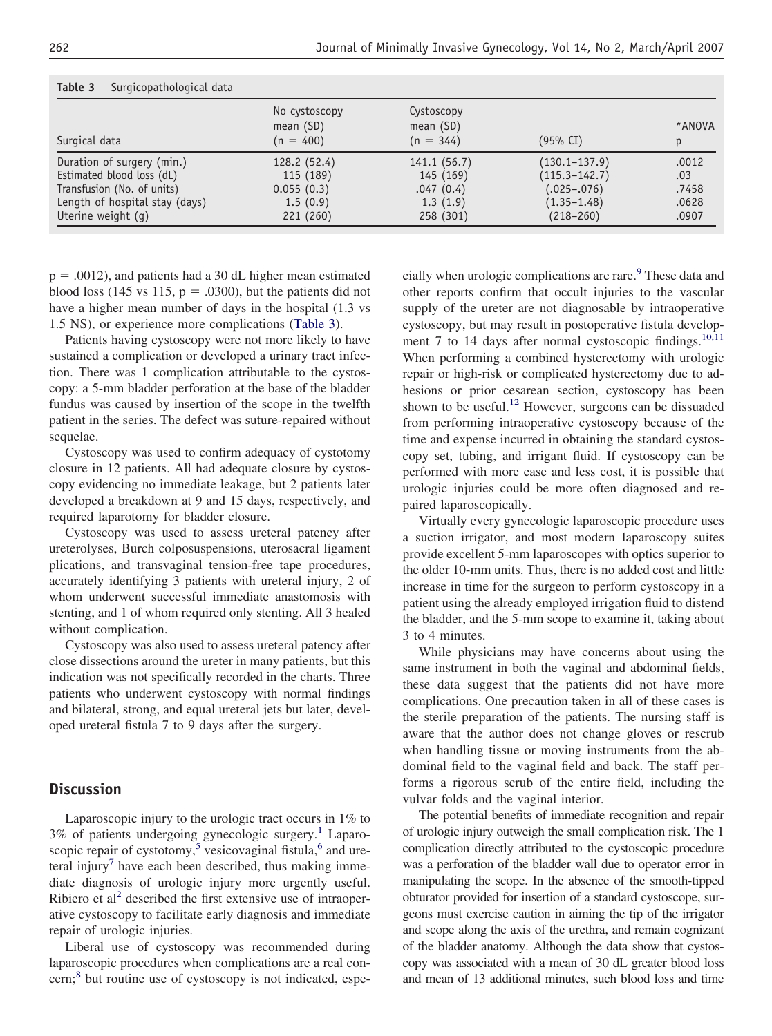| Table 3<br>Surgicopathological data |                                             |                                          |                   |             |  |  |
|-------------------------------------|---------------------------------------------|------------------------------------------|-------------------|-------------|--|--|
| Surgical data                       | No cystoscopy<br>mean $(SD)$<br>$(n = 400)$ | Cystoscopy<br>mean $(SD)$<br>$(n = 344)$ | (95% CI)          | *ANOVA<br>р |  |  |
| Duration of surgery (min.)          | 128.2 (52.4)                                | 141.1(56.7)                              | $(130.1 - 137.9)$ | .0012       |  |  |
| Estimated blood loss (dL)           | 115 (189)                                   | 145 (169)                                | $(115.3 - 142.7)$ | .03         |  |  |
| Transfusion (No. of units)          | 0.055(0.3)                                  | .047(0.4)                                | $(.025-.076)$     | .7458       |  |  |
| Length of hospital stay (days)      | 1.5(0.9)                                    | 1.3(1.9)                                 | $(1.35 - 1.48)$   | .0628       |  |  |
| Uterine weight (q)                  | 221 (260)                                   | 258 (301)                                | $(218 - 260)$     | .0907       |  |  |

 $p = .0012$ ), and patients had a 30 dL higher mean estimated blood loss (145 vs 115,  $p = .0300$ ), but the patients did not have a higher mean number of days in the hospital (1.3 vs 1.5 NS), or experience more complications (Table 3).

Patients having cystoscopy were not more likely to have sustained a complication or developed a urinary tract infection. There was 1 complication attributable to the cystoscopy: a 5-mm bladder perforation at the base of the bladder fundus was caused by insertion of the scope in the twelfth patient in the series. The defect was suture-repaired without sequelae.

Cystoscopy was used to confirm adequacy of cystotomy closure in 12 patients. All had adequate closure by cystoscopy evidencing no immediate leakage, but 2 patients later developed a breakdown at 9 and 15 days, respectively, and required laparotomy for bladder closure.

Cystoscopy was used to assess ureteral patency after ureterolyses, Burch colposuspensions, uterosacral ligament plications, and transvaginal tension-free tape procedures, accurately identifying 3 patients with ureteral injury, 2 of whom underwent successful immediate anastomosis with stenting, and 1 of whom required only stenting. All 3 healed without complication.

Cystoscopy was also used to assess ureteral patency after close dissections around the ureter in many patients, but this indication was not specifically recorded in the charts. Three patients who underwent cystoscopy with normal findings and bilateral, strong, and equal ureteral jets but later, developed ureteral fistula 7 to 9 days after the surgery.

#### **Discussion**

Laparoscopic injury to the urologic tract occurs in 1% to 3% of patients undergoing gynecologic surgery.<sup>[1](#page-3-0)</sup> Laparo-scopic repair of cystotomy,<sup>[5](#page-3-0)</sup> vesicovaginal fistula, $^6$  $^6$  and ure-teral injury<sup>[7](#page-3-0)</sup> have each been described, thus making immediate diagnosis of urologic injury more urgently useful. Ribiero et al<sup>2</sup> described the first extensive use of intraoperative cystoscopy to facilitate early diagnosis and immediate repair of urologic injuries.

Liberal use of cystoscopy was recommended during laparoscopic procedures when complications are a real concern;<sup>8</sup> but routine use of cystoscopy is not indicated, espe-

cially when urologic complications are rare.<sup>[9](#page-3-0)</sup> These data and other reports confirm that occult injuries to the vascular supply of the ureter are not diagnosable by intraoperative cystoscopy, but may result in postoperative fistula develop-ment 7 to 14 days after normal cystoscopic findings.<sup>[10,11](#page-3-0)</sup> When performing a combined hysterectomy with urologic repair or high-risk or complicated hysterectomy due to adhesions or prior cesarean section, cystoscopy has been shown to be useful.<sup>[12](#page-3-0)</sup> However, surgeons can be dissuaded from performing intraoperative cystoscopy because of the time and expense incurred in obtaining the standard cystoscopy set, tubing, and irrigant fluid. If cystoscopy can be performed with more ease and less cost, it is possible that urologic injuries could be more often diagnosed and repaired laparoscopically.

Virtually every gynecologic laparoscopic procedure uses a suction irrigator, and most modern laparoscopy suites provide excellent 5-mm laparoscopes with optics superior to the older 10-mm units. Thus, there is no added cost and little increase in time for the surgeon to perform cystoscopy in a patient using the already employed irrigation fluid to distend the bladder, and the 5-mm scope to examine it, taking about 3 to 4 minutes.

While physicians may have concerns about using the same instrument in both the vaginal and abdominal fields, these data suggest that the patients did not have more complications. One precaution taken in all of these cases is the sterile preparation of the patients. The nursing staff is aware that the author does not change gloves or rescrub when handling tissue or moving instruments from the abdominal field to the vaginal field and back. The staff performs a rigorous scrub of the entire field, including the vulvar folds and the vaginal interior.

The potential benefits of immediate recognition and repair of urologic injury outweigh the small complication risk. The 1 complication directly attributed to the cystoscopic procedure was a perforation of the bladder wall due to operator error in manipulating the scope. In the absence of the smooth-tipped obturator provided for insertion of a standard cystoscope, surgeons must exercise caution in aiming the tip of the irrigator and scope along the axis of the urethra, and remain cognizant of the bladder anatomy. Although the data show that cystoscopy was associated with a mean of 30 dL greater blood loss and mean of 13 additional minutes, such blood loss and time